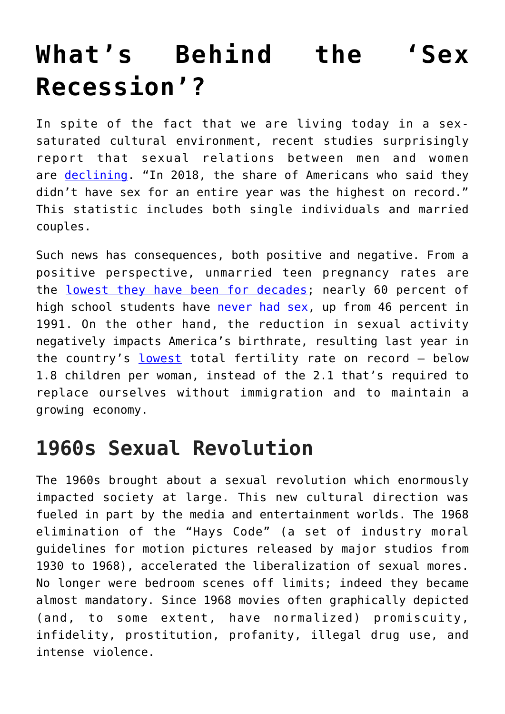# **[What's Behind the 'Sex](https://intellectualtakeout.org/2019/06/whats-behind-the-sex-recession/) [Recession'?](https://intellectualtakeout.org/2019/06/whats-behind-the-sex-recession/)**

In spite of the fact that we are living today in a sexsaturated cultural environment, recent studies surprisingly report that sexual relations between men and women are [declining.](http://www.insider.com/sex-recession-part-of-sex-drought-americans-2019-4) "In 2018, the share of Americans who said they didn't have sex for an entire year was the highest on record." This statistic includes both single individuals and married couples.

Such news has consequences, both positive and negative. From a positive perspective, unmarried teen pregnancy rates are the [lowest they have been for decades;](http://www.realwomenofcanada.ca/the-decline-of-sex/) nearly 60 percent of high school students have [never had sex](https://c-fam.org/friday_fax/abstinence-education-works-condoms-dont-new-teen-pregnancy-data/), up from 46 percent in 1991. On the other hand, the reduction in sexual activity negatively impacts America's birthrate, resulting last year in the country's [lowest](https://www.mercatornet.com/demography/view/the-us-baby-decline-continues/22476) total fertility rate on record – below 1.8 children per woman, instead of the 2.1 that's required to replace ourselves without immigration and to maintain a growing economy.

### **1960s Sexual Revolution**

The 1960s brought about a sexual revolution which enormously impacted society at large. This new cultural direction was fueled in part by the media and entertainment worlds. The 1968 elimination of the "Hays Code" (a set of industry moral guidelines for motion pictures released by major studios from 1930 to 1968), accelerated the liberalization of sexual mores. No longer were bedroom scenes off limits; indeed they became almost mandatory. Since 1968 movies often graphically depicted (and, to some extent, have normalized) promiscuity, infidelity, prostitution, profanity, illegal drug use, and intense violence.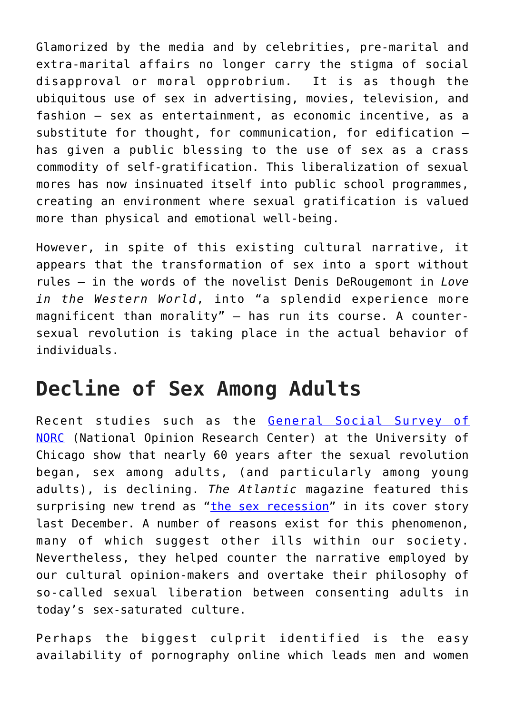Glamorized by the media and by celebrities, pre-marital and extra-marital affairs no longer carry the stigma of social disapproval or moral opprobrium. It is as though the ubiquitous use of sex in advertising, movies, television, and fashion – sex as entertainment, as economic incentive, as a substitute for thought, for communication, for edification – has given a public blessing to the use of sex as a crass commodity of self-gratification. This liberalization of sexual mores has now insinuated itself into public school programmes, creating an environment where sexual gratification is valued more than physical and emotional well-being.

However, in spite of this existing cultural narrative, it appears that the transformation of sex into a sport without rules – in the words of the novelist Denis DeRougemont in *Love in the Western World*, into "a splendid experience more magnificent than morality" – has run its course. A countersexual revolution is taking place in the actual behavior of individuals.

#### **Decline of Sex Among Adults**

Recent studies such as the [General Social Survey of](http://www.norc.org/Research/Projects/Pages/general-social-survey.aspx) [NORC](http://www.norc.org/Research/Projects/Pages/general-social-survey.aspx) (National Opinion Research Center) at the University of Chicago show that nearly 60 years after the sexual revolution began, sex among adults, (and particularly among young adults), is declining. *The Atlantic* magazine featured this surprising new trend as ["the sex recession](https://www.theatlantic.com/magazine/archive/2018/12/the-sex-recession/573949/)" in its cover story last December. A number of reasons exist for this phenomenon, many of which suggest other ills within our society. Nevertheless, they helped counter the narrative employed by our cultural opinion-makers and overtake their philosophy of so-called sexual liberation between consenting adults in today's sex-saturated culture.

Perhaps the biggest culprit identified is the easy availability of pornography online which leads men and women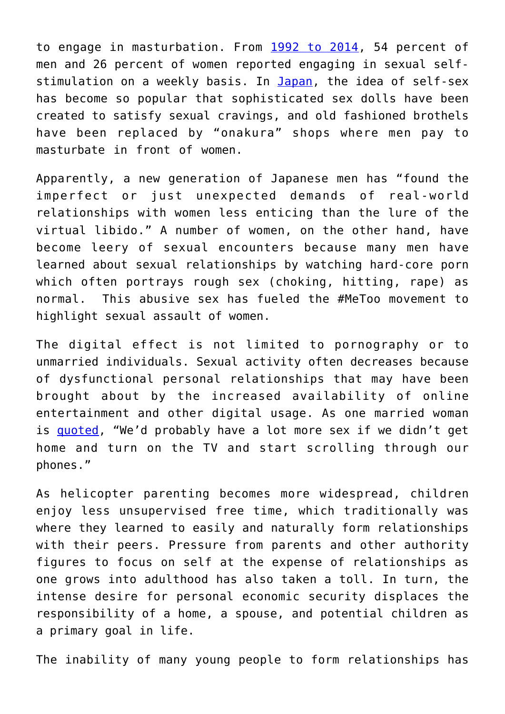to engage in masturbation. From [1992 to 2014,](https://www.theatlantic.com/magazine/archive/2018/12/the-sex-recession/573949) 54 percent of men and 26 percent of women reported engaging in sexual self-stimulation on a weekly basis. In [Japan,](https://www.theatlantic.com/magazine/archive/2018/12/the-sex-recession/573949) the idea of self-sex has become so popular that sophisticated sex dolls have been created to satisfy sexual cravings, and old fashioned brothels have been replaced by "onakura" shops where men pay to masturbate in front of women.

Apparently, a new generation of Japanese men has "found the imperfect or just unexpected demands of real-world relationships with women less enticing than the lure of the virtual libido." A number of women, on the other hand, have become leery of sexual encounters because many men have learned about sexual relationships by watching hard-core porn which often portrays rough sex (choking, hitting, rape) as normal. This abusive sex has fueled the #MeToo movement to highlight sexual assault of women.

The digital effect is not limited to pornography or to unmarried individuals. Sexual activity often decreases because of dysfunctional personal relationships that may have been brought about by the increased availability of online entertainment and other digital usage. As one married woman is **quoted**, "We'd probably have a lot more sex if we didn't get home and turn on the TV and start scrolling through our phones."

As helicopter parenting becomes more widespread, children enjoy less unsupervised free time, which traditionally was where they learned to easily and naturally form relationships with their peers. Pressure from parents and other authority figures to focus on self at the expense of relationships as one grows into adulthood has also taken a toll. In turn, the intense desire for personal economic security displaces the responsibility of a home, a spouse, and potential children as a primary goal in life.

The inability of many young people to form relationships has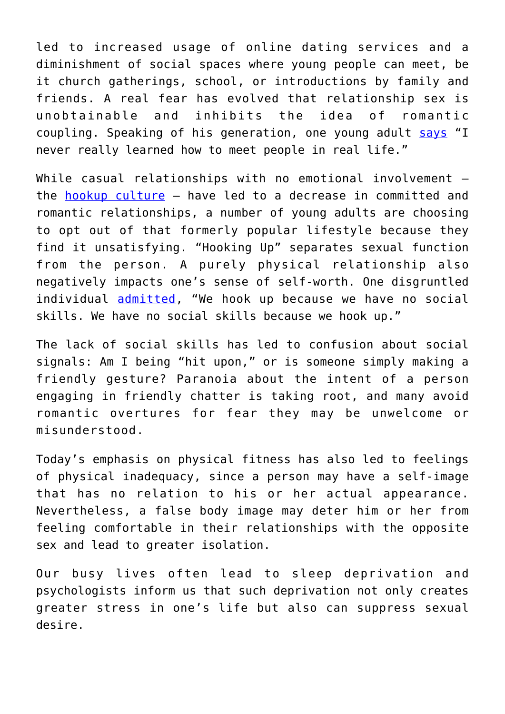led to increased usage of online dating services and a diminishment of social spaces where young people can meet, be it church gatherings, school, or introductions by family and friends. A real fear has evolved that relationship sex is unobtainable and inhibits the idea of romantic coupling. Speaking of his generation, one young adult [says](https://www.theatlantic.com/magazine/archive/2018/12/the-sex-recession/573949) "I never really learned how to meet people in real life."

While casual relationships with no emotional involvement the [hookup culture](https://www.thepublicdiscourse.com/2018/10/39423/) – have led to a decrease in committed and romantic relationships, a number of young adults are choosing to opt out of that formerly popular lifestyle because they find it unsatisfying. "Hooking Up" separates sexual function from the person. A purely physical relationship also negatively impacts one's sense of self-worth. One disgruntled individual [admitted](https://www.theatlantic.com/magazine/archive/2018/12/the-sex-recession/573949/), "We hook up because we have no social skills. We have no social skills because we hook up."

The lack of social skills has led to confusion about social signals: Am I being "hit upon," or is someone simply making a friendly gesture? Paranoia about the intent of a person engaging in friendly chatter is taking root, and many avoid romantic overtures for fear they may be unwelcome or misunderstood.

Today's emphasis on physical fitness has also led to feelings of physical inadequacy, since a person may have a self-image that has no relation to his or her actual appearance. Nevertheless, a false body image may deter him or her from feeling comfortable in their relationships with the opposite sex and lead to greater isolation.

Our busy lives often lead to sleep deprivation and psychologists inform us that such deprivation not only creates greater stress in one's life but also can suppress sexual desire.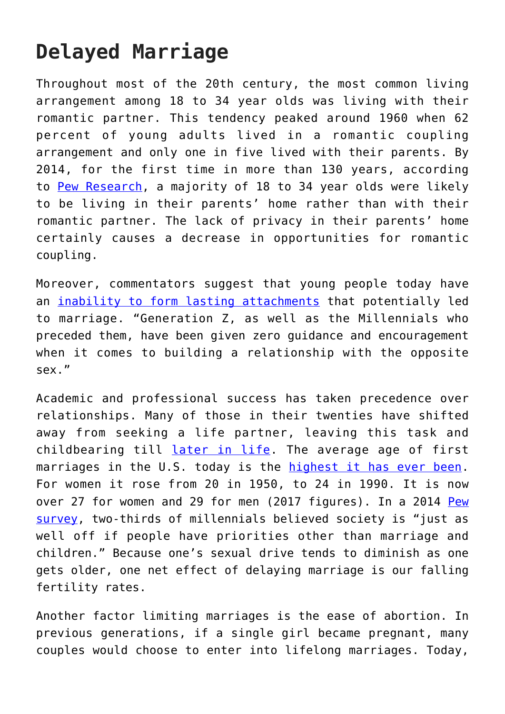## **Delayed Marriage**

Throughout most of the 20th century, the most common living arrangement among 18 to 34 year olds was living with their romantic partner. This tendency peaked around 1960 when 62 percent of young adults lived in a romantic coupling arrangement and only one in five lived with their parents. By 2014, for the first time in more than 130 years, according to [Pew Research,](https://www.pewsocialtrends.org/2016/05/24/for-first-time-in-modern-eera-living-with-parents-edges-out-other-living-arrangements-for-18-to-34-year-olds/) a majority of 18 to 34 year olds were likely to be living in their parents' home rather than with their romantic partner. The lack of privacy in their parents' home certainly causes a decrease in opportunities for romantic coupling.

Moreover, commentators suggest that young people today have an [inability to form lasting attachments](https://www.suzannevenker.com/dating/how-to-have-a-successful-long-term-relationship-is-the-most-pressing-issue-of-our-time-part-1/) that potentially led to marriage. "Generation Z, as well as the Millennials who preceded them, have been given zero guidance and encouragement when it comes to building a relationship with the opposite sex."

Academic and professional success has taken precedence over relationships. Many of those in their twenties have shifted away from seeking a life partner, leaving this task and childbearing till [later in life](https://www.today.com/health/americans-are-having-less-sex-here-s-why-it-matters-t151817). The average age of first marriages in the U.S. today is the [highest it has ever been.](https://www.womenshealthmag.com/relationships/a19567270/average-age-of-marriage/) For women it rose from 20 in 1950, to 24 in 1990. It is now over 27 for women and 29 for men (2017 figures). In a 2014 [Pew](https://www.womenshealthmag.com/relationships/a19567270/average-age-of-marriage/) [survey,](https://www.womenshealthmag.com/relationships/a19567270/average-age-of-marriage/) two-thirds of millennials believed society is "just as well off if people have priorities other than marriage and children." Because one's sexual drive tends to diminish as one gets older, one net effect of delaying marriage is our falling fertility rates.

Another factor limiting marriages is the ease of abortion. In previous generations, if a single girl became pregnant, many couples would choose to enter into lifelong marriages. Today,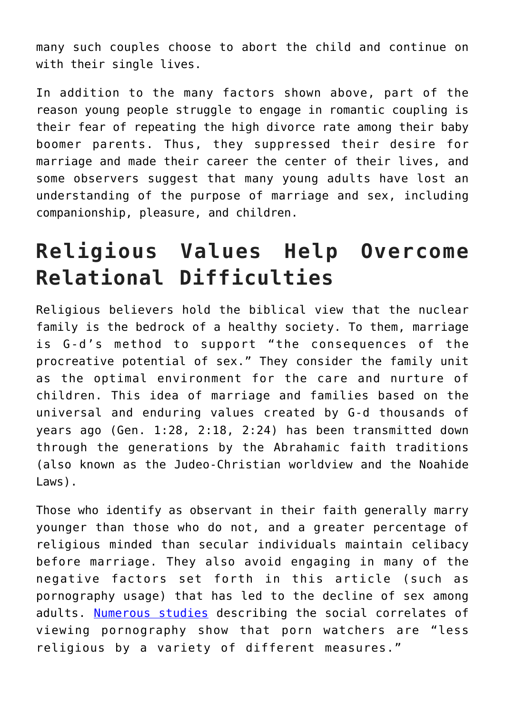many such couples choose to abort the child and continue on with their single lives.

In addition to the many factors shown above, part of the reason young people struggle to engage in romantic coupling is their fear of repeating the high divorce rate among their baby boomer parents. Thus, they suppressed their desire for marriage and made their career the center of their lives, and some observers suggest that many young adults have lost an understanding of the purpose of marriage and sex, including companionship, pleasure, and children.

## **Religious Values Help Overcome Relational Difficulties**

Religious believers hold the biblical view that the nuclear family is the bedrock of a healthy society. To them, marriage is G-d's method to support "the consequences of the procreative potential of sex." They consider the family unit as the optimal environment for the care and nurture of children. This idea of marriage and families based on the universal and enduring values created by G-d thousands of years ago (Gen. 1:28, 2:18, 2:24) has been transmitted down through the generations by the Abrahamic faith traditions (also known as the Judeo-Christian worldview and the Noahide Laws).

Those who identify as observant in their faith generally marry younger than those who do not, and a greater percentage of religious minded than secular individuals maintain celibacy before marriage. They also avoid engaging in many of the negative factors set forth in this article (such as pornography usage) that has led to the decline of sex among adults. [Numerous studies](https://www.ncbi.nlm.nih.gov/pmc/articles/PMC5439973/) describing the social correlates of viewing pornography show that porn watchers are "less religious by a variety of different measures."